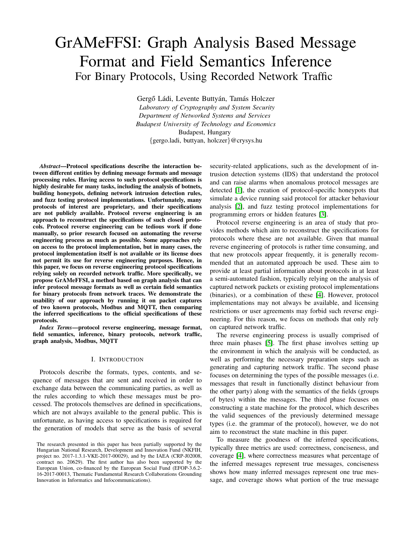# <span id="page-0-0"></span>GrAMeFFSI: Graph Analysis Based Message Format and Field Semantics Inference For Binary Protocols, Using Recorded Network Traffic

Gergő Ládi, Levente Buttyán, Tamás Holczer *Laboratory of Cryptography and System Security Department of Networked Systems and Services Budapest University of Technology and Economics* Budapest, Hungary {gergo.ladi, buttyan, holczer}@crysys.hu

*Abstract*—Protocol specifications describe the interaction between different entities by defining message formats and message processing rules. Having access to such protocol specifications is highly desirable for many tasks, including the analysis of botnets, building honeypots, defining network intrusion detection rules, and fuzz testing protocol implementations. Unfortunately, many protocols of interest are proprietary, and their specifications are not publicly available. Protocol reverse engineering is an approach to reconstruct the specifications of such closed protocols. Protocol reverse engineering can be tedious work if done manually, so prior research focused on automating the reverse engineering process as much as possible. Some approaches rely on access to the protocol implementation, but in many cases, the protocol implementation itself is not available or its license does not permit its use for reverse engineering purposes. Hence, in this paper, we focus on reverse engineering protocol specifications relying solely on recorded network traffic. More specifically, we propose GrAMeFFSI, a method based on graph analysis that can infer protocol message formats as well as certain field semantics for binary protocols from network traces. We demonstrate the usability of our approach by running it on packet captures of two known protocols, Modbus and MQTT, then comparing the inferred specifications to the official specifications of these protocols.

*Index Terms*—protocol reverse engineering, message format, field semantics, inference, binary protocols, network traffic, graph analysis, Modbus, MQTT

### I. INTRODUCTION

Protocols describe the formats, types, contents, and sequence of messages that are sent and received in order to exchange data between the communicating parties, as well as the rules according to which these messages must be processed. The protocols themselves are defined in specifications, which are not always available to the general public. This is unfortunate, as having access to specifications is required for the generation of models that serve as the basis of several

security-related applications, such as the development of intrusion detection systems (IDS) that understand the protocol and can raise alarms when anomalous protocol messages are detected [\[1\]](#page-7-0), the creation of protocol-specific honeypots that simulate a device running said protocol for attacker behaviour analysis [\[2\]](#page-7-1), and fuzz testing protocol implementations for programming errors or hidden features [\[3\]](#page-7-2).

Protocol reverse engineering is an area of study that provides methods which aim to reconstruct the specifications for protocols where these are not available. Given that manual reverse engineering of protocols is rather time consuming, and that new protocols appear frequently, it is generally recommended that an automated approach be used. These aim to provide at least partial information about protocols in at least a semi-automated fashion, typically relying on the analysis of captured network packets or existing protocol implementations (binaries), or a combination of these [\[4\]](#page-7-3). However, protocol implementations may not always be available, and licensing restrictions or user agreements may forbid such reverse engineering. For this reason, we focus on methods that only rely on captured network traffic.

The reverse engineering process is usually comprised of three main phases [\[5\]](#page-7-4). The first phase involves setting up the environment in which the analysis will be conducted, as well as performing the necessary preparation steps such as generating and capturing network traffic. The second phase focuses on determining the types of the possible messages (i.e. messages that result in functionally distinct behaviour from the other party) along with the semantics of the fields (groups of bytes) within the messages. The third phase focuses on constructing a state machine for the protocol, which describes the valid sequences of the previously determined message types (i.e. the grammar of the protocol), however, we do not aim to reconstruct the state machine in this paper.

To measure the goodness of the inferred specifications, typically three metrics are used: correctness, conciseness, and coverage [\[4\]](#page-7-3), where correctness measures what percentage of the inferred messages represent true messages, conciseness shows how many inferred messages represent one true message, and coverage shows what portion of the true message

The research presented in this paper has been partially supported by the Hungarian National Research, Development and Innovation Fund (NKFIH, project no. 2017-1.3.1-VKE-2017-00029), and by the IAEA (CRP-J02008, contract no. 20629). The first author has also been supported by the European Union, co-financed by the European Social Fund (EFOP-3.6.2- 16-2017-00013, Thematic Fundamental Research Collaborations Grounding Innovation in Informatics and Infocommunications).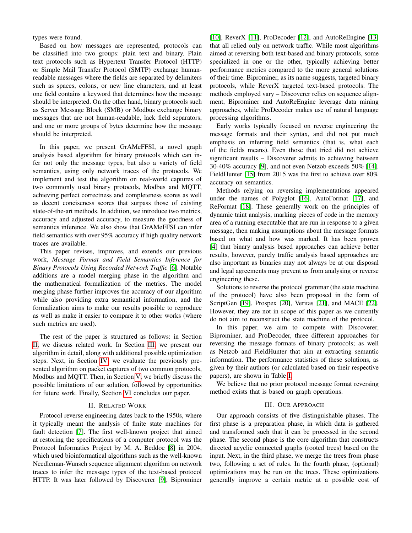types were found.

Based on how messages are represented, protocols can be classified into two groups: plain text and binary. Plain text protocols such as Hypertext Transfer Protocol (HTTP) or Simple Mail Transfer Protocol (SMTP) exchange humanreadable messages where the fields are separated by delimiters such as spaces, colons, or new line characters, and at least one field contains a keyword that determines how the message should be interpreted. On the other hand, binary protocols such as Server Message Block (SMB) or Modbus exchange binary messages that are not human-readable, lack field separators, and one or more groups of bytes determine how the message should be interpreted.

In this paper, we present GrAMeFFSI, a novel graph analysis based algorithm for binary protocols which can infer not only the message types, but also a variety of field semantics, using only network traces of the protocols. We implement and test the algorithm on real-world captures of two commonly used binary protocols, Modbus and MQTT, achieving perfect correctness and completeness scores as well as decent conciseness scores that surpass those of existing state-of-the-art methods. In addition, we introduce two metrics, accuracy and adjusted accuracy, to measure the goodness of semantics inference. We also show that GrAMeFFSI can infer field semantics with over 95% accuracy if high quality network traces are available.

This paper revises, improves, and extends our previous work, *Message Format and Field Semantics Inference for Binary Protocols Using Recorded Network Traffic* [\[6\]](#page-7-5). Notable additions are a model merging phase in the algorithm and the mathematical formalization of the metrics. The model merging phase further improves the accuracy of our algorithm while also providing extra semantical information, and the formalization aims to make our results possible to reproduce as well as make it easier to compare it to other works (where such metrics are used).

The rest of the paper is structured as follows: in Section [II,](#page-1-0) we discuss related work. In Section [III,](#page-1-1) we present our algorithm in detail, along with additional possible optimization steps. Next, in Section [IV,](#page-4-0) we evaluate the previously presented algorithm on packet captures of two common protocols, Modbus and MQTT. Then, in Section [V,](#page-6-0) we briefly discuss the possible limitations of our solution, followed by opportunities for future work. Finally, Section [VI](#page-7-6) concludes our paper.

#### II. RELATED WORK

<span id="page-1-0"></span>Protocol reverse engineering dates back to the 1950s, where it typically meant the analysis of finite state machines for fault detection [\[7\]](#page-7-7). The first well-known project that aimed at restoring the specifications of a computer protocol was the Protocol Informatics Project by M. A. Beddoe [\[8\]](#page-7-8) in 2004, which used bioinformatical algorithms such as the well-known Needleman-Wunsch sequence alignment algorithm on network traces to infer the message types of the text-based protocol HTTP. It was later followed by Discoverer [\[9\]](#page-7-9), Biprominer [\[10\]](#page-7-10), ReverX [\[11\]](#page-7-11), ProDecoder [\[12\]](#page-7-12), and AutoReEngine [\[13\]](#page-7-13) that all relied only on network traffic. While most algorithms aimed at reversing both text-based and binary protocols, some specialized in one or the other, typically achieving better performance metrics compared to the more general solutions of their time. Biprominer, as its name suggests, targeted binary protocols, while ReverX targeted text-based protocols. The methods employed vary – Discoverer relies on sequence alignment, Biprominer and AutoReEngine leverage data mining approaches, while ProDecoder makes use of natural language processing algorithms.

Early works typically focused on reverse engineering the message formats and their syntax, and did not put much emphasis on inferring field semantics (that is, what each of the fields means). Even those that tried did not achieve significant results – Discoverer admits to achieving between 30-40% accuracy [\[9\]](#page-7-9), and not even Netzob exceeds 50% [\[14\]](#page-7-14). FieldHunter [\[15\]](#page-7-15) from 2015 was the first to achieve over 80% accuracy on semantics.

Methods relying on reversing implementations appeared under the names of Polyglot [\[16\]](#page-8-0), AutoFormat [\[17\]](#page-8-1), and ReFormat [\[18\]](#page-8-2). These generally work on the principles of dynamic taint analysis, marking pieces of code in the memory area of a running executable that are run in response to a given message, then making assumptions about the message formats based on what and how was marked. It has been proven [\[4\]](#page-7-3) that binary analysis based approaches can achieve better results, however, purely traffic analysis based approaches are also important as binaries may not always be at our disposal and legal agreements may prevent us from analysing or reverse engineering these.

Solutions to reverse the protocol grammar (the state machine of the protocol) have also been proposed in the form of ScriptGen [\[19\]](#page-8-3), Prospex [\[20\]](#page-8-4), Veritas [\[21\]](#page-8-5), and MACE [\[22\]](#page-8-6). However, they are not in scope of this paper as we currently do not aim to reconstruct the state machine of the protocol.

In this paper, we aim to compete with Discoverer, Biprominer, and ProDecoder, three different approaches for reversing the message formats of binary protocols; as well as Netzob and FieldHunter that aim at extracting semantic information. The performance statistics of these solutions, as given by their authors (or calculated based on their respective papers), are shown in Table [I.](#page-2-0)

We believe that no prior protocol message format reversing method exists that is based on graph operations.

#### III. OUR APPROACH

<span id="page-1-1"></span>Our approach consists of five distinguishable phases. The first phase is a preparation phase, in which data is gathered and transformed such that it can be processed in the second phase. The second phase is the core algorithm that constructs directed acyclic connected graphs (rooted trees) based on the input. Next, in the third phase, we merge the trees from phase two, following a set of rules. In the fourth phase, (optional) optimizations may be run on the trees. These optimizations generally improve a certain metric at a possible cost of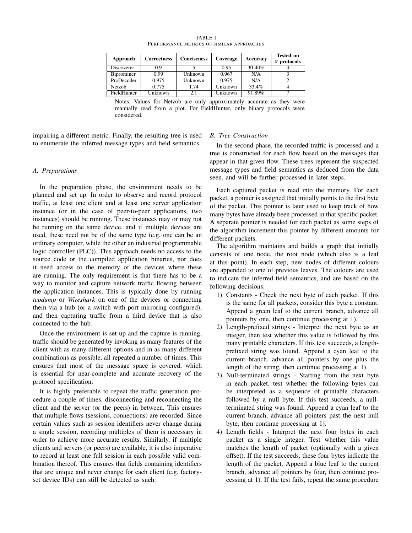<span id="page-2-0"></span>

| Approach    | <b>Correctness</b> | <b>Conciseness</b> | Coverage | Accuracy   | <b>Tested on</b><br># protocols |
|-------------|--------------------|--------------------|----------|------------|---------------------------------|
| Discoverer  | 0.9                |                    | 0.95     | $30 - 40%$ |                                 |
| Biprominer  | 0.99               | Unknown            | 0.967    | N/A        |                                 |
| ProDecoder  | 0.975              | Unknown            | 0.975    | N/A        |                                 |
| Netzob      | 0.775              | 1.74               | Unknown  | 33.4%      |                                 |
| FieldHunter | Unknown            | 2.1                | Unknown  | 91.89%     |                                 |

TABLE I PERFORMANCE METRICS OF SIMILAR APPROACHES

Notes: Values for Netzob are only approximately accurate as they were manually read from a plot. For FieldHunter, only binary protocols were considered.

impairing a different metric. Finally, the resulting tree is used to enumerate the inferred message types and field semantics.

### *A. Preparations*

In the preparation phase, the environment needs to be planned and set up. In order to observe and record protocol traffic, at least one client and at least one server application instance (or in the case of peer-to-peer applications, two instances) should be running. These instances may or may not be running on the same device, and if multiple devices are used, these need not be of the same type (e.g. one can be an ordinary computer, while the other an industrial programmable logic controller (PLC)). This approach needs no access to the source code or the compiled application binaries, nor does it need access to the memory of the devices where these are running. The only requirement is that there has to be a way to monitor and capture network traffic flowing between the application instances. This is typically done by running *tcpdump* or *Wireshark* on one of the devices or connecting them via a hub (or a switch with port mirroring configured), and then capturing traffic from a third device that is also connected to the hub.

Once the environment is set up and the capture is running, traffic should be generated by invoking as many features of the client with as many different options and in as many different combinations as possible, all repeated a number of times. This ensures that most of the message space is covered, which is essential for near-complete and accurate recovery of the protocol specification.

It is highly preferable to repeat the traffic generation procedure a couple of times, disconnecting and reconnecting the client and the server (or the peers) in between. This ensures that multiple flows (sessions, connections) are recorded. Since certain values such as session identifiers never change during a single session, recording multiples of them is necessary in order to achieve more accurate results. Similarly, if multiple clients and servers (or peers) are available, it is also imperative to record at least one full session in each possible valid combination thereof. This ensures that fields containing identifiers that are unique and never change for each client (e.g. factoryset device IDs) can still be detected as such.

# *B. Tree Construction*

In the second phase, the recorded traffic is processed and a tree is constructed for each flow based on the messages that appear in that given flow. These trees represent the suspected message types and field semantics as deduced from the data seen, and will be further processed in later steps.

Each captured packet is read into the memory. For each packet, a pointer is assigned that initially points to the first byte of the packet. This pointer is later used to keep track of how many bytes have already been processed in that specific packet. A separate pointer is needed for each packet as some steps of the algorithm increment this pointer by different amounts for different packets.

The algorithm maintains and builds a graph that initially consists of one node, the root node (which also is a leaf at this point). In each step, new nodes of different colours are appended to one of previous leaves. The colours are used to indicate the inferred field semantics, and are based on the following decisions:

- 1) Constants Check the next byte of each packet. If this is the same for all packets, consider this byte a constant. Append a green leaf to the current branch, advance all pointers by one, then continue processing at 1).
- 2) Length-prefixed strings Interpret the next byte as an integer, then test whether this value is followed by this many printable characters. If this test succeeds, a lengthprefixed string was found. Append a cyan leaf to the current branch, advance all pointers by one plus the length of the string, then continue processing at 1).
- 3) Null-terminated strings Starting from the next byte in each packet, test whether the following bytes can be interpreted as a sequence of printable characters followed by a null byte. If this test succeeds, a nullterminated string was found. Append a cyan leaf to the current branch, advance all pointers past the next null byte, then continue processing at 1).
- 4) Length fields Interpret the next four bytes in each packet as a single integer. Test whether this value matches the length of packet (optionally with a given offset). If the test succeeds, these four bytes indicate the length of the packet. Append a blue leaf to the current branch, advance all pointers by four, then continue processing at 1). If the test fails, repeat the same procedure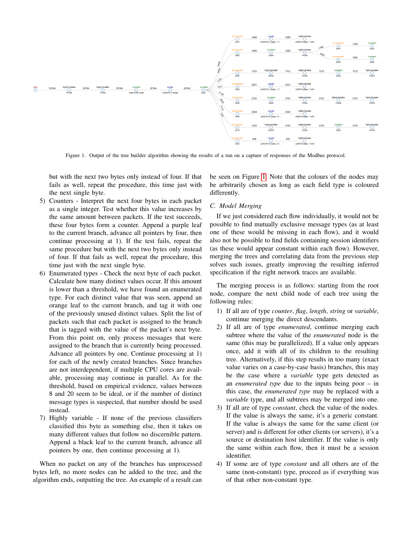

<span id="page-3-0"></span>Figure 1. Output of the tree builder algorithm showing the results of a run on a capture of responses of the Modbus protocol.

but with the next two bytes only instead of four. If that fails as well, repeat the procedure, this time just with the next single byte.

- 5) Counters Interpret the next four bytes in each packet as a single integer. Test whether this value increases by the same amount between packets. If the test succeeds, these four bytes form a counter. Append a purple leaf to the current branch, advance all pointers by four, then continue processing at 1). If the test fails, repeat the same procedure but with the next two bytes only instead of four. If that fails as well, repeat the procedure, this time just with the next single byte.
- 6) Enumerated types Check the next byte of each packet. Calculate how many distinct values occur. If this amount is lower than a threshold, we have found an enumerated type. For each distinct value that was seen, append an orange leaf to the current branch, and tag it with one of the previously unused distinct values. Split the list of packets such that each packet is assigned to the branch that is tagged with the value of the packet's next byte. From this point on, only process messages that were assigned to the branch that is currently being processed. Advance all pointers by one. Continue processing at 1) for each of the newly created branches. Since branches are not interdependent, if multiple CPU cores are available, processing may continue in parallel. As for the threshold, based on empirical evidence, values between 8 and 20 seem to be ideal, or if the number of distinct message types is suspected, that number should be used instead.
- 7) Highly variable If none of the previous classifiers classified this byte as something else, then it takes on many different values that follow no discernible pattern. Append a black leaf to the current branch, advance all pointers by one, then continue processing at 1).

When no packet on any of the branches has unprocessed bytes left, no more nodes can be added to the tree, and the algorithm ends, outputting the tree. An example of a result can be seen on Figure [1.](#page-3-0) Note that the colours of the nodes may be arbitrarily chosen as long as each field type is coloured differently.

#### *C. Model Merging*

If we just considered each flow individually, it would not be possible to find mutually exclusive message types (as at least one of these would be missing in each flow), and it would also not be possible to find fields containing session identifiers (as these would appear constant within each flow). However, merging the trees and correlating data from the previous step solves such issues, greatly improving the resulting inferred specification if the right network traces are available.

The merging process is as follows: starting from the root node, compare the next child node of each tree using the following rules:

- 1) If all are of type *counter*, *flag*, *length*, *string* or *variable*, continue merging the direct descendants.
- 2) If all are of type *enumerated*, continue merging each subtree where the value of the *enumerated* node is the same (this may be parallelized). If a value only appears once, add it with all of its children to the resulting tree. Alternatively, if this step results in too many (exact value varies on a case-by-case basis) branches, this may be the case where a *variable* type gets detected as an *enumerated type* due to the inputs being poor – in this case, the *enumerated type* may be replaced with a *variable* type, and all subtrees may be merged into one.
- 3) If all are of type *constant*, check the value of the nodes. If the value is always the same, it's a generic constant. If the value is always the same for the same client (or server) and is different for other clients (or servers), it's a source or destination host identifier. If the value is only the same within each flow, then it must be a session identifier.
- 4) If some are of type *constant* and all others are of the same (non-constant) type, proceed as if everything was of that other non-constant type.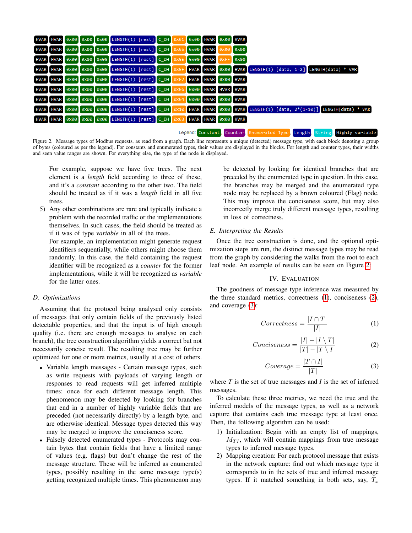|  |  | HVAR HVAR 0x00 0x00 0x00 LENGTH(1) [rest] C_DH 0x01 0x00 HVAR 0x00 HVAR |  |  |      |            |  |                                                                                                                  |  |
|--|--|-------------------------------------------------------------------------|--|--|------|------------|--|------------------------------------------------------------------------------------------------------------------|--|
|  |  | HVAR HVAR 0x00 0x00 0x00 LENGTH(1) [rest] C_DH 0x05 0x00 HVAR           |  |  | 0x00 | $\sqrt{8}$ |  |                                                                                                                  |  |
|  |  | HVAR HVAR 0x00 0x00 0x00 LENGTH(1) [rest] C_DH 0x05 0x00 HVAR 0xFF 0x00 |  |  |      |            |  |                                                                                                                  |  |
|  |  |                                                                         |  |  |      |            |  | HVAR HVAR 0x00 0x00 0x00 LENGTH(1) [rest] C_DH 0x0F HVAR HVAR 0x00 HVAR LENGTH(1) [data, 1-2] LENGTH(data) * VAR |  |
|  |  | HVAR HVAR 0x00 0x00 0x00 LENGTH(1) [rest] C_DH 0x02 HVAR HVAR 0x00 HVAR |  |  |      |            |  |                                                                                                                  |  |
|  |  | HVAR HVAR 0x00 0x00 0x00 LENGTH(1) [rest] C_DH 0x06 0x00 HVAR HVAR HVAR |  |  |      |            |  |                                                                                                                  |  |
|  |  | HVAR HVAR 0x00 0x00 0x00 LENGTH(1) [rest] C_DH 0x04 0x00 HVAR 0x00 HVAR |  |  |      |            |  |                                                                                                                  |  |
|  |  | HVAR HVAR 0x00 0x00 0x00 LENGTH(1) [rest] C_DH                          |  |  |      |            |  | $\boxed{0x10}$ HVAR HVAR $\boxed{0x00}$ HVAR LENGTH(1) [data, 2*(1-10)] LENGTH(data) * VAR                       |  |
|  |  | HVAR HVAR 0x00 0x00 0x00 LENGTH(1) [rest] C_DH 0x03 HVAR HVAR 0x00 HVAR |  |  |      |            |  |                                                                                                                  |  |
|  |  |                                                                         |  |  |      |            |  | Legend: Constant, Counter, Enumerated Type, Length, String, Highly variable                                      |  |

<span id="page-4-1"></span>Figure 2. Message types of Modbus requests, as read from a graph. Each line represents a unique (detected) message type, with each block denoting a group of bytes (coloured as per the legend). For constants and enumerated types, their values are displayed in the blocks. For length and counter types, their widths and seen value ranges are shown. For everything else, the type of the node is displayed.

For example, suppose we have five trees. The next element is a *length* field according to three of these, and it's a *constant* according to the other two. The field should be treated as if it was a *length* field in all five trees.

5) Any other combinations are rare and typically indicate a problem with the recorded traffic or the implementations themselves. In such cases, the field should be treated as if it was of type *variable* in all of the trees.

For example, an implementation might generate request identifiers sequentially, while others might choose them randomly. In this case, the field containing the request identifier will be recognized as a *counter* for the former implementations, while it will be recognized as *variable* for the latter ones.

#### *D. Optimizations*

Assuming that the protocol being analysed only consists of messages that only contain fields of the previously listed detectable properties, and that the input is of high enough quality (i.e. there are enough messages to analyse on each branch), the tree construction algorithm yields a correct but not necessarily concise result. The resulting tree may be further optimized for one or more metrics, usually at a cost of others.

- Variable length messages Certain message types, such as write requests with payloads of varying length or responses to read requests will get inferred multiple times: once for each different message length. This phenomenon may be detected by looking for branches that end in a number of highly variable fields that are preceded (not necessarily directly) by a length byte, and are otherwise identical. Message types detected this way may be merged to improve the conciseness score.
- Falsely detected enumerated types Protocols may contain bytes that contain fields that have a limited range of values (e.g. flags) but don't change the rest of the message structure. These will be inferred as enumerated types, possibly resulting in the same message type(s) getting recognized multiple times. This phenomenon may

be detected by looking for identical branches that are preceded by the enumerated type in question. In this case, the branches may be merged and the enumerated type node may be replaced by a brown coloured (Flag) node. This may improve the conciseness score, but may also incorrectly merge truly different message types, resulting in loss of correctness.

# *E. Interpreting the Results*

Once the tree construction is done, and the optional optimization steps are run, the distinct message types may be read from the graph by considering the walks from the root to each leaf node. An example of results can be seen on Figure [2:](#page-4-1)

# IV. EVALUATION

<span id="page-4-0"></span>The goodness of message type inference was measured by the three standard metrics, correctness [\(1\)](#page-4-2), conciseness [\(2\)](#page-4-3), and coverage [\(3\)](#page-4-4):

<span id="page-4-2"></span>
$$
Correctness = \frac{|I \cap T|}{|I|} \tag{1}
$$

<span id="page-4-3"></span>
$$
Conciseness = \frac{|I| - |I \setminus T|}{|T| - |T \setminus I|}
$$
 (2)

<span id="page-4-4"></span>
$$
Coverage = \frac{|T \cap I|}{|T|} \tag{3}
$$

where *T* is the set of true messages and *I* is the set of inferred messages.

To calculate these three metrics, we need the true and the inferred models of the message types, as well as a network capture that contains each true message type at least once. Then, the following algorithm can be used:

- 1) Initialization: Begin with an empty list of mappings,  $M_{TI}$ , which will contain mappings from true message types to inferred message types.
- 2) Mapping creation: For each protocol message that exists in the network capture: find out which message type it corresponds to in the sets of true and inferred message types. If it matched something in both sets, say,  $T<sub>x</sub>$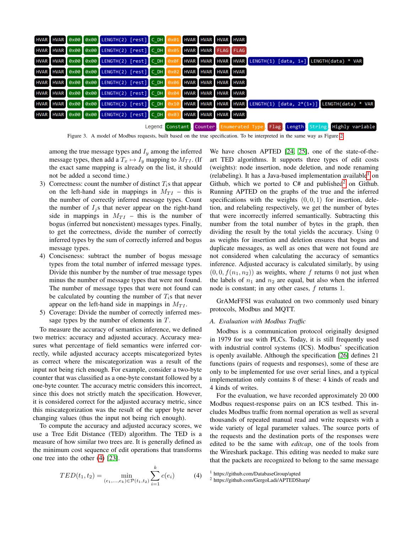

<span id="page-5-1"></span>Figure 3. A model of Modbus requests, built based on the true specification. To be interpreted in the same way as Figure [2.](#page-4-1)

among the true message types and  $I_y$  among the inferred message types, then add a  $T_x \mapsto I_y$  mapping to  $M_{TI}$ . (If the exact same mapping is already on the list, it should not be added a second time.)

- 3) Correctness: count the number of distinct  $T_i$ s that appear on the left-hand side in mappings in  $M_{TI}$  – this is the number of correctly inferred message types. Count the number of  $I_j$ s that never appear on the right-hand side in mappings in  $M_{TI}$  – this is the number of bogus (inferred but nonexistent) messages types. Finally, to get the correctness, divide the number of correctly inferred types by the sum of correctly inferred and bogus message types.
- 4) Conciseness: subtract the number of bogus message types from the total number of inferred message types. Divide this number by the number of true message types minus the number of message types that were not found. The number of message types that were not found can be calculated by counting the number of  $T_i$ s that never appear on the left-hand side in mappings in  $M_{TI}$ .
- 5) Coverage: Divide the number of correctly inferred message types by the number of elements in T.

To measure the accuracy of semantics inference, we defined two metrics: accuracy and adjusted accuracy. Accuracy measures what percentage of field semantics were inferred correctly, while adjusted accuracy accepts miscategorized bytes as correct where the miscategorization was a result of the input not being rich enough. For example, consider a two-byte counter that was classified as a one-byte constant followed by a one-byte counter. The accuracy metric considers this incorrect, since this does not strictly match the specification. However, it is considered correct for the adjusted accuracy metric, since this miscategorization was the result of the upper byte never changing values (thus the input not being rich enough).

To compute the accuracy and adjusted accuracy scores, we use a Tree Edit Distance (TED) algorithm. The TED is a measure of how similar two trees are. It is generally defined as the minimum cost sequence of edit operations that transforms one tree into the other [\(4\)](#page-5-0) [\[23\]](#page-8-7).

<span id="page-5-0"></span>
$$
TED(t_1, t_2) = \min_{(e_1, \dots, e_k) \in \mathcal{P}(t_1, t_2)} \sum_{i=1}^k c(e_i)
$$
 (4)

We have chosen APTED [\[24,](#page-8-8) [25\]](#page-8-9), one of the state-of-theart TED algorithms. It supports three types of edit costs (weights): node insertion, node deletion, and node renaming (relabeling). It has a Java-based implementation available<sup>[1](#page-0-0)</sup> on Github, which we ported to  $C#$  and published<sup>[2](#page-0-0)</sup> on Github. Running APTED on the graphs of the true and the inferred specifications with the weights  $(0, 0, 1)$  for insertion, deletion, and relabeling respectively, we get the number of bytes that were incorrectly inferred semantically. Subtracting this number from the total number of bytes in the graph, then dividing the result by the total yields the accuracy. Using 0 as weights for insertion and deletion ensures that bogus and duplicate messages, as well as ones that were not found are not considered when calculating the accuracy of semantics inference. Adjusted accuracy is calculated similarly, by using  $(0, 0, f(n_1, n_2))$  as weights, where f returns 0 not just when the labels of  $n_1$  and  $n_2$  are equal, but also when the inferred node is constant; in any other cases, f returns 1.

GrAMeFFSI was evaluated on two commonly used binary protocols, Modbus and MQTT.

# *A. Evaluation with Modbus Traffic*

Modbus is a communication protocol originally designed in 1979 for use with PLCs. Today, it is still frequently used with industrial control systems (ICS). Modbus' specification is openly available. Although the specification [\[26\]](#page-8-10) defines 21 functions (pairs of requests and responses), some of these are only to be implemented for use over serial lines, and a typical implementation only contains 8 of these: 4 kinds of reads and 4 kinds of writes.

For the evaluation, we have recorded approximately 20 000 Modbus request-response pairs on an ICS testbed. This includes Modbus traffic from normal operation as well as several thousands of repeated manual read and write requests with a wide variety of legal parameter values. The source ports of the requests and the destination ports of the responses were edited to be the same with *editcap*, one of the tools from the Wireshark package. This editing was needed to make sure that the packets are recognized to belong to the same message

<sup>1</sup> https://github.com/DatabaseGroup/apted

<sup>2</sup> https://github.com/GergoLadi/APTEDSharp/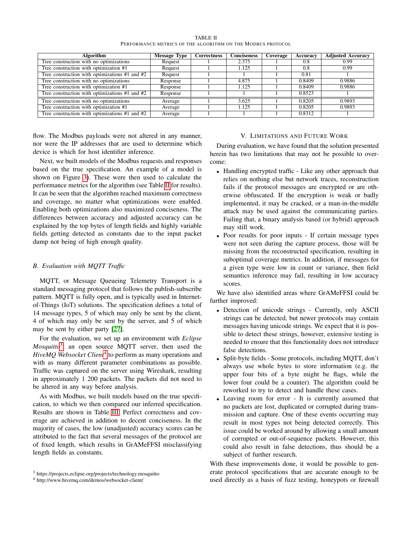| <b>TABLE II</b>                                             |
|-------------------------------------------------------------|
| PERFORMANCE METRICS OF THE ALGORITHM ON THE MODBUS PROTOCOL |

<span id="page-6-1"></span>

| <b>Algorithm</b>                                   | <b>Message Type</b> | Correctness | <b>Conciseness</b> | Coverage | Accuracy | <b>Adjusted Accuracy</b> |
|----------------------------------------------------|---------------------|-------------|--------------------|----------|----------|--------------------------|
| Tree construction with no optimizations            | Request             |             | 2.375              |          | 0.8      | 0.99                     |
| Tree construction with optimization #1             | Request             |             | 1.125              |          | 0.8      | 0.99                     |
| Tree construction with optimizations $#1$ and $#2$ | Request             |             |                    |          | 0.81     |                          |
| Tree construction with no optimizations            | Response            |             | 4.875              |          | 0.8409   | 0.9886                   |
| Tree construction with optimization #1             | Response            |             | 1.125              |          | 0.8409   | 0.9886                   |
| Tree construction with optimizations $#1$ and $#2$ | Response            |             |                    |          | 0.8523   |                          |
| Tree construction with no optimizations            | Average             |             | 3.625              |          | 0.8205   | 0.9893                   |
| Tree construction with optimization #1             | Average             |             | 1.125              |          | 0.8205   | 0.9893                   |
| Tree construction with optimizations $#1$ and $#2$ | Average             |             |                    |          | 0.8312   |                          |

flow. The Modbus payloads were not altered in any manner, nor were the IP addresses that are used to determine which device is which for host identifier inference.

Next, we built models of the Modbus requests and responses based on the true specification. An example of a model is shown on Figure [3\)](#page-5-1). These were then used to calculate the performance metrics for the algorithm (see Table [II](#page-6-1) for results). It can be seen that the algorithm reached maximum correctness and coverage, no matter what optimizations were enabled. Enabling both optimizations also maximized conciseness. The differences between accuracy and adjusted accuracy can be explained by the top bytes of length fields and highly variable fields getting detected as constants due to the input packet dump not being of high enough quality.

### *B. Evaluation with MQTT Traffic*

MQTT, or Message Queueing Telemetry Transport is a standard messaging protocol that follows the publish-subscribe pattern. MQTT is fully open, and is typically used in Internetof-Things (IoT) solutions. The specification defines a total of 14 message types, 5 of which may only be sent by the client, 4 of which may only be sent by the server, and 5 of which may be sent by either party [\[27\]](#page-8-11).

For the evaluation, we set up an environment with *Eclipse Mosquitto*[3](#page-0-0) , an open source MQTT server, then used the *HiveMQ Websocket Client*[4](#page-0-0) to perform as many operations and with as many different parameter combinations as possible. Traffic was captured on the server using Wireshark, resulting in approximately 1 200 packets. The packets did not need to be altered in any way before analysis.

As with Modbus, we built models based on the true specification, to which we then compared our inferred specification. Results are shown in Table [III.](#page-7-16) Perfect correctness and coverage are achieved in addition to decent conciseness. In the majority of cases, the low (unadjusted) accuracy scores can be attributed to the fact that several messages of the protocol are of fixed length, which results in GrAMeFFSI misclassifying length fields as constants.

#### V. LIMITATIONS AND FUTURE WORK

<span id="page-6-0"></span>During evaluation, we have found that the solution presented herein has two limitations that may not be possible to overcome:

- Handling encrypted traffic Like any other approach that relies on nothing else but network traces, reconstruction fails if the protocol messages are encrypted or are otherwise obfuscated. If the encryption is weak or badly implemented, it may be cracked, or a man-in-the-middle attack may be used against the communicating parties. Failing that, a binary analysis based (or hybrid) approach may still work.
- Poor results for poor inputs If certain message types were not seen during the capture process, those will be missing from the reconstructed specification, resulting in suboptimal coverage metrics. In addition, if messages for a given type were low in count or variance, then field semantics inference may fail, resulting in low accuracy scores.

We have also identified areas where GrAMeFFSI could be further improved:

- Detection of unicode strings Currently, only ASCII strings can be detected, but newer protocols may contain messages having unicode strings. We expect that it is possible to detect these strings, however, extensive testing is needed to ensure that this functionality does not introduce false detections.
- Split-byte fields Some protocols, including MQTT, don't always use whole bytes to store information (e.g. the upper four bits of a byte might be flags, while the lower four could be a counter). The algorithm could be reworked to try to detect and handle these cases.
- Leaving room for error It is currently assumed that no packets are lost, duplicated or corrupted during transmission and capture. One of these events occurring may result in most types not being detected correctly. This issue could be worked around by allowing a small amount of corrupted or out-of-sequence packets. However, this could also result in false detections, thus should be a subject of further research.

With these improvements done, it would be possible to generate protocol specifications that are accurate enough to be used directly as a basis of fuzz testing, honeypots or firewall

<sup>3</sup> https://projects.eclipse.org/projects/technology.mosquitto

<sup>4</sup> http://www.hivemq.com/demos/websocket-client/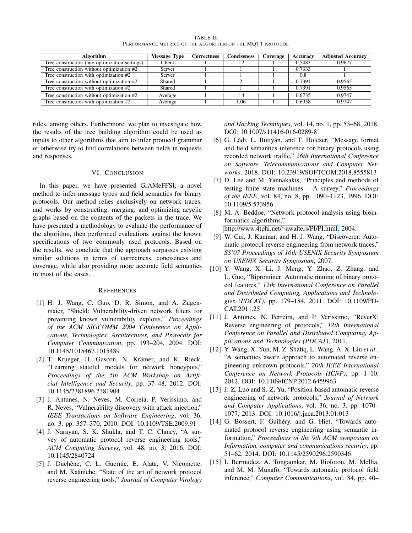TABLE III PERFORMANCE METRICS OF THE ALGORITHM ON THE MQTT PROTOCOL

<span id="page-7-16"></span>

| Algorithm                                     | Message Type  | <b>Correctness</b> | Conciseness | Coverage | Accuracy | <b>Adjusted Accuracy</b> |
|-----------------------------------------------|---------------|--------------------|-------------|----------|----------|--------------------------|
| Tree construction (any optimization settings) | Client        |                    |             |          | 0.5483   | 0.9677                   |
| Tree construction without optimization #2     | Server        |                    |             |          | 0.7333   |                          |
| Tree construction with optimization #2        | <b>Server</b> |                    |             |          | 0.8      |                          |
| Tree construction without optimization #2     | Shared        |                    |             |          | 0.7391   | 0.9565                   |
| Tree construction with optimization $#2$      | Shared        |                    |             |          | 0.7391   | 0.9565                   |
| Tree construction without optimization #2     | Average       |                    | 1.4         |          | 0.6735   | 0.9747                   |
| Tree construction with optimization #2        | Average       |                    | .06         |          | 0.6958   | 0.9747                   |

rules, among others. Furthermore, we plan to investigate how the results of the tree building algorithm could be used as inputs to other algorithms that aim to infer protocol grammar or otherwise try to find correlations between fields in requests and responses.

#### VI. CONCLUSION

<span id="page-7-6"></span>In this paper, we have presented GrAMeFFSI, a novel method to infer message types and field semantics for binary protocols. Our method relies exclusively on network traces, and works by constructing, merging, and optimizing acyclic graphs based on the contents of the packets in the trace. We have presented a methodology to evaluate the performance of the algorithm, then performed evaluations against the known specifications of two commonly used protocols. Based on the results, we conclude that the approach surpasses existing similar solutions in terms of correctness, conciseness and coverage, while also providing more accurate field semantics in most of the cases.

#### **REFERENCES**

- <span id="page-7-0"></span>[1] H. J. Wang, C. Guo, D. R. Simon, and A. Zugenmaier, "Shield: Vulnerability-driven network filters for preventing known vulnerability exploits," *Proceedings of the ACM SIGCOMM 2004 Conference on Applications, Technologies, Architectures, and Protocols for Computer Communication*, pp. 193–204, 2004. DOI: 10.1145/1015467.1015489
- <span id="page-7-1"></span>[2] T. Krueger, H. Gascon, N. Krämer, and K. Rieck, "Learning stateful models for network honeypots," *Proceedings of the 5th ACM Workshop on Artificial Intelligence and Security*, pp. 37–48, 2012. DOI: 10.1145/2381896.2381904
- <span id="page-7-2"></span>[3] J. Antunes, N. Neves, M. Correia, P. Verissimo, and R. Neves, "Vulnerability discovery with attack injection," *IEEE Transactions on Software Engineering*, vol. 36, no. 3, pp. 357–370, 2010. DOI: 10.1109/TSE.2009.91
- <span id="page-7-3"></span>[4] J. Narayan, S. K. Shukla, and T. C. Clancy, "A survey of automatic protocol reverse engineering tools," *ACM Computing Surveys*, vol. 48, no. 3, 2016. DOI: 10.1145/2840724
- <span id="page-7-4"></span>[5] J. Duchêne, C. L. Guernic, E. Alata, V. Nicomette, and M. Kaâniche, "State of the art of network protocol reverse engineering tools," *Journal of Computer Virology*

*and Hacking Techniques*, vol. 14, no. 1, pp. 53–68, 2018. DOI: 10.1007/s11416-016-0289-8

- <span id="page-7-5"></span>[6] G. Ládi, L. Buttyán, and T. Holczer, "Message format and field semantics inference for binary protocols using recorded network traffic," *26th International Conference on Software, Telecommunications and Computer Networks*, 2018. DOI: 10.23919/SOFTCOM.2018.8555813
- <span id="page-7-7"></span>[7] D. Lee and M. Yannakakis, "Principles and methods of testing finite state machines – A survey," *Proceedings of the IEEE*, vol. 84, no. 8, pp. 1090–1123, 1996. DOI: 10.1109/5.533956
- <span id="page-7-8"></span>[8] M. A. Beddoe, "Network protocol analysis using bioinformatics algorithms,"

[http://www.4tphi.net/](http://www.4tphi.net/~awalters/PI/PI.html)<sup>∼</sup>awalters/PI/PI.html, 2004.

- <span id="page-7-9"></span>[9] W. Cui, J. Kannan, and H. J. Wang, "Discoverer: Automatic protocol reverse engineering from network traces," *SS'07 Proceedings of 16th USENIX Security Symposium on USENIX Security Symposium*, 2007.
- <span id="page-7-10"></span>[10] Y. Wang, X. Li, J. Meng, Y. Zhao, Z. Zhang, and L. Guo, "Biprominer: Automatic mining of binary protocol features," *12th International Conference on Parallel and Distributed Computing, Applications and Technologies (PDCAT)*, pp. 179–184, 2011. DOI: 10.1109/PD-CAT.2011.25
- <span id="page-7-11"></span>[11] J. Antunes, N. Ferreira, and P. Verissimo, "ReverX: Reverse engineering of protocols," *12th International Conference on Parallel and Distributed Computing, Applications and Technologies (PDCAT)*, 2011.
- <span id="page-7-12"></span>[12] Y. Wang, X. Yun, M. Z. Shafiq, L. Wang, A. X. Liu *et al.*, "A semantics aware approach to automated reverse engineering unknown protocols," *20th IEEE International Conference on Network Protocols (ICNP)*, pp. 1–10, 2012. DOI: 10.1109/ICNP.2012.6459963
- <span id="page-7-13"></span>[13] J.-Z. Luo and S.-Z. Yu, "Position-based automatic reverse engineering of network protocols," *Journal of Network and Computer Applications*, vol. 36, no. 3, pp. 1070– 1077, 2013. DOI: 10.1016/j.jnca.2013.01.013
- <span id="page-7-14"></span>[14] G. Bossert, F. Guihéry, and G. Hiet, "Towards automated protocol reverse engineering using semantic information," *Proceedings of the 9th ACM symposium on Information, computer and communications security*, pp. 51–62, 2014. DOI: 10.1145/2590296.2590346
- <span id="page-7-15"></span>[15] I. Bermudez, A. Tongaonkar, M. Iliofotou, M. Mellia, and M. M. Munafo, "Towards automatic protocol field ` inference," *Computer Communications*, vol. 84, pp. 40–